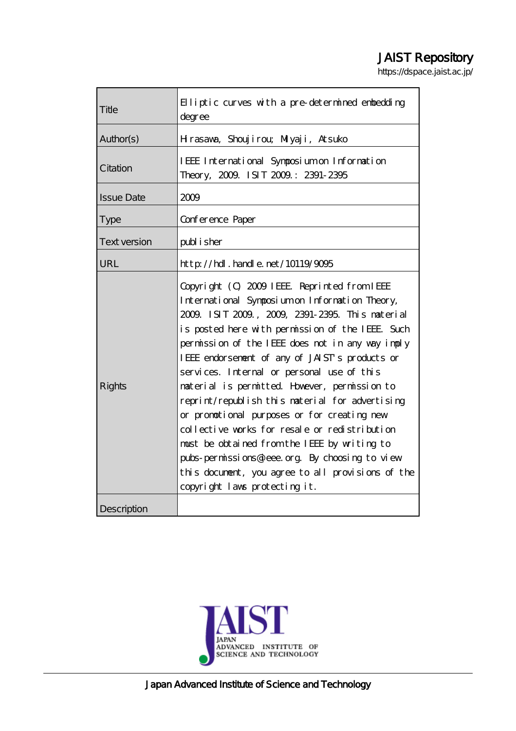# JAIST Repository

https://dspace.jaist.ac.jp/

| Title               | $\mathbf{H}$ liptic curves with a pre-determined embedding<br>degree                                                                                                                                                                                                                                                                                                                                                                                                                                                                                                                                                                                                                                                                              |
|---------------------|---------------------------------------------------------------------------------------------------------------------------------------------------------------------------------------------------------------------------------------------------------------------------------------------------------------------------------------------------------------------------------------------------------------------------------------------------------------------------------------------------------------------------------------------------------------------------------------------------------------------------------------------------------------------------------------------------------------------------------------------------|
| Author(s)           | Hrasava, Shoujirou; Miyaji, Atsuko                                                                                                                                                                                                                                                                                                                                                                                                                                                                                                                                                                                                                                                                                                                |
| Citation            | IEEE International Symposium on Information<br>Theory, 2009. ISIT 2009: 2391-2395                                                                                                                                                                                                                                                                                                                                                                                                                                                                                                                                                                                                                                                                 |
| <b>Issue Date</b>   | 2009                                                                                                                                                                                                                                                                                                                                                                                                                                                                                                                                                                                                                                                                                                                                              |
| Type                | Conference Paper                                                                                                                                                                                                                                                                                                                                                                                                                                                                                                                                                                                                                                                                                                                                  |
| <b>Text version</b> | publisher                                                                                                                                                                                                                                                                                                                                                                                                                                                                                                                                                                                                                                                                                                                                         |
| URL                 | http://hdl.handle.net/10119/9095                                                                                                                                                                                                                                                                                                                                                                                                                                                                                                                                                                                                                                                                                                                  |
| <b>Rights</b>       | Copyright (C) 2009 IEEE Reprinted from IEEE<br>International Symposium on Information Theory,<br>2009. ISIT 2009, 2009, 2391-2395. This naterial<br>is posted here with permission of the IEEE Such<br>permission of the IEEE does not in any way imply<br>IEEE endorsement of any of JAIST's products or<br>services. Internal or personal use of this<br>material is permitted However, permission to<br>reprint/republish this material for advertising<br>or promotional purposes or for creating new<br>collective works for resale or redistribution<br>must be obtained from the IEEE by writing to<br>pubs-permissions@ieee.org By choosing to view<br>this document, you agree to all provisions of the<br>copyright laws protecting it. |
| Description         |                                                                                                                                                                                                                                                                                                                                                                                                                                                                                                                                                                                                                                                                                                                                                   |

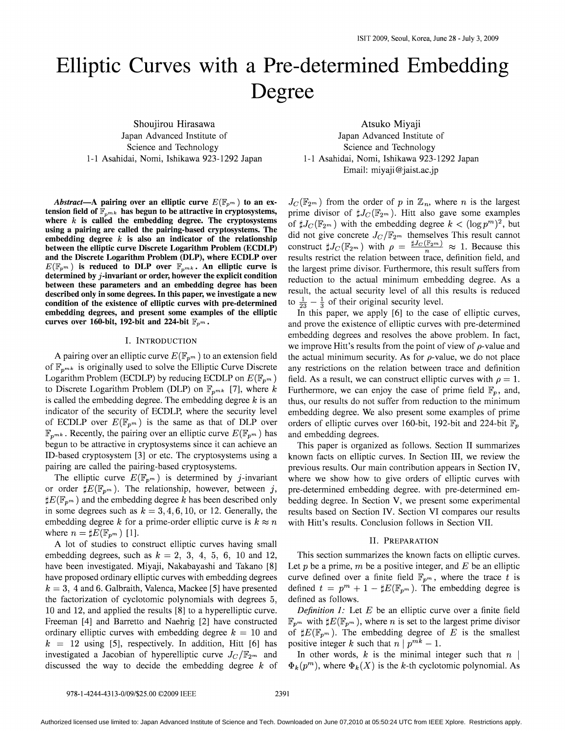# Elliptic Curves with a Pre-determined Embedding Degree

Shoujirou Hirasawa Japan Advanced Institute of Science and Technology 1-1 Asahidai, Nomi, Ishikawa 923-1292 Japan

Atsuko Miyaji Japan Advanced Institute of Science and Technology 1-1 Asahidai, Nomi, Ishikawa 923-1292 Japan Email: miyaji@jaist.ac.jp

*Abstract*—A pairing over an elliptic curve  $E(\mathbb{F}_{p^m})$  to an extension field of  $\mathbb{F}_{n^{mk}}$  has begun to be attractive in cryptosystems, where  $k$  is called the embedding degree. The cryptosystems using a pairing are called the pairing-based cryptosystems. The embedding degree  $k$  is also an indicator of the relationship between the elliptic curve Discrete Logarithm Problem (ECDLP) and the Discrete Logarithm Problem (DLP), where ECDLP over  $E(\mathbb{F}_{p^m})$  is reduced to DLP over  $\mathbb{F}_{p^{mk}}$ . An elliptic curve is determined by  $j$ -invariant or order, however the explicit condition between these parameters and an embedding degree has been described only in some degrees. In this paper, we investigate a new condition of the existence of elliptic curves with pre-determined embedding degrees, and present some examples of the elliptic curves over 160-bit, 192-bit and 224-bit  $\mathbb{F}_{p^m}$ .

#### I. INTRODUCTION

A pairing over an elliptic curve  $E(\mathbb{F}_{p^m})$  to an extension field of  $\mathbb{F}_{n^{mk}}$  is originally used to solve the Elliptic Curve Discrete Logarithm Problem (ECDLP) by reducing ECDLP on  $E(\mathbb{F}_{p^m})$ to Discrete Logarithm Problem (DLP) on  $\mathbb{F}_{n^{mk}}$  [7], where *k* is called the embedding degree. The embedding degree *k* is an indicator of the security of ECDLP, where the security level of ECDLP over  $E(\mathbb{F}_{p^m})$  is the same as that of DLP over  $\mathbb{F}_{n^{mk}}$ . Recently, the pairing over an elliptic curve  $E(\mathbb{F}_{n^m})$  has begun to be attractive in cryptosystems since it can achieve an ID-based cryptosystem [3] or etc. The cryptosystems using a pairing are called the pairing-based cryptosystems.

The elliptic curve  $E(\mathbb{F}_{p^m})$  is determined by j-invariant or order  $\sharp E(\mathbb{F}_{p^m})$ . The relationship, however, between j,  $\sharp E(\mathbb{F}_{n^m})$  and the embedding degree k has been described only in some degrees such as  $k = 3, 4, 6, 10$ , or 12. Generally, the embedding degree *k* for a prime-order elliptic curve is  $k \approx n$ where  $n = \sharp E(\mathbb{F}_{p^m})$  [1].

A lot of studies to construct elliptic curves having small embedding degrees, such as  $k = 2, 3, 4, 5, 6, 10$  and 12, have been investigated. Miyaji, Nakabayashi and Takano [8] have proposed ordinary elliptic curves with embedding degrees  $k = 3$ , 4 and 6. Galbraith, Valenca, Mackee [5] have presented the factorization of cyclotomic polynomials with degrees 5, 10 and 12, and applied the results [8] to a hyperelliptic curve. Freeman [4] and Barretto and Naehrig [2] have constructed ordinary elliptic curves with embedding degree  $k = 10$  and  $k = 12$  using [5], respectively. In addition, Hitt [6] has investigated a Jacobian of hyperelliptic curve  $J_C/\mathbb{F}_{2^m}$  and discussed the way to decide the embedding degree *k* of

 $J_c(\mathbb{F}_{2^m})$  from the order of p in  $\mathbb{Z}_n$ , where n is the largest prime divisor of  $\sharp J_C(\mathbb{F}_{2^m})$ . Hitt also gave some examples of  $\sharp J_C(\mathbb{F}_{2m})$  with the embedding degree  $k < (\log p^m)^2$ , but did not give concrete  $J_C/\mathbb{F}_{2^m}$  themselves This result cannot construct  $\sharp J_C(\mathbb{F}_{2m})$  with  $\rho = \frac{\sharp J_C(\mathbb{F}_{2m})}{n} \approx 1$ . Because this results restrict the relation between trace, definition field, and the largest prime divisor. Furthermore, this result suffers from reduction to the actual minimum embedding degree. As a result, the actual security level of all this results is reduced to  $\frac{1}{23} - \frac{1}{3}$  of their original security level.

In this paper, we apply [6] to the case of elliptic curves, and prove the existence of elliptic curves with pre-determined embedding degrees and resolves the above problem. In fact, we improve Hitt's results from the point of view of  $\rho$ -value and the actual minimum security. As for  $\rho$ -value, we do not place any restrictions on the relation between trace and definition field. As a result, we can construct elliptic curves with  $\rho = 1$ . Furthermore, we can enjoy the case of prime field  $\mathbb{F}_p$ , and, thus, our results do not suffer from reduction to the minimum embedding degree. We also present some examples of prime orders of elliptic curves over 160-bit, 192-bit and 224-bit  $\mathbb{F}_p$ and embedding degrees.

This paper is organized as follows. Section II summarizes known facts on elliptic curves. In Section III, we review the previous results. Our main contribution appears in Section IV, where we show how to give orders of elliptic curves with pre-determined embedding degree. with pre-determined embedding degree. In Section V, we present some experimental results based on Section IV. Section VI compares our results with Hitt's results. Conclusion follows in Section VII.

#### II. PREPARATION

This section summarizes the known facts on elliptic curves. Let  $p$  be a prime,  $m$  be a positive integer, and  $E$  be an elliptic curve defined over a finite field  $\mathbb{F}_{p^m}$ , where the trace t is defined  $t = p^m + 1 - \sharp E(\mathbb{F}_{p^m})$ . The embedding degree is defined as follows.

*Definition* 1: Let *E* be an elliptic curve over a finite field  $\mathbb{F}_{p^m}$  with  $\sharp E(\mathbb{F}_{p^m})$ , where *n* is set to the largest prime divisor of  $\sharp E(\mathbb{F}_{p^m})$ . The embedding degree of *E* is the smallest positive integer k such that  $n \mid p^{mk} - 1$ .

In other words,  $k$  is the minimal integer such that  $n \mid$  $\Phi_k(p^m)$ , where  $\Phi_k(X)$  is the k-th cyclotomic polynomial. As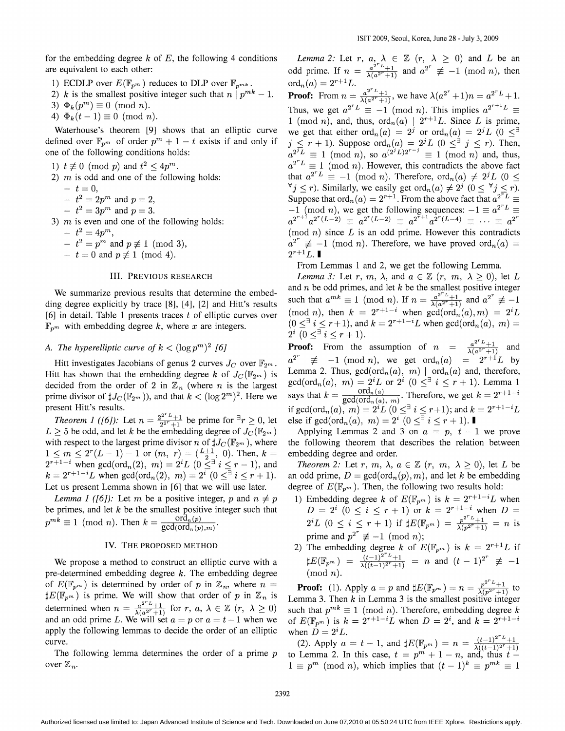for the embedding degree  $k$  of  $E$ , the following 4 conditions are equivalent to each other:

- 1) ECDLP over  $E(\mathbb{F}_{p^m})$  reduces to DLP over  $\mathbb{F}_{p^{mk}}$ .
- 2) k is the smallest positive integer such that  $n \mid p^{mk} 1$ .
- 3)  $\Phi_k(p^m) \equiv 0 \pmod{n}$ .
- 4)  $\Phi_k(t-1) \equiv 0 \pmod{n}$ .

Waterhouse's theorem [9] shows that an elliptic curve defined over  $\mathbb{F}_{p^m}$  of order  $p^m + 1 - t$  exists if and only if one of the following conditions holds:

- 1)  $t \not\equiv 0 \pmod{p}$  and  $t^2 \leq 4p^m$ .
- 2)  $m$  is odd and one of the following holds:
	- $-t=0$ ,
	- $-t^2 = 2p^m$  and  $p = 2$ ,
	- $-t^2 = 3p^m$  and  $p = 3$ .
- 3)  $m$  is even and one of the following holds:
	- $t^2 = 4p^m$ ,
	- $t^2 = p^m$  and  $p \not\equiv 1 \pmod{3}$ ,
	- $-t = 0$  and  $p \not\equiv 1 \pmod{4}$ .

#### III. PREVIOUS RESEARCH

We summarize previous results that determine the embedding degree explicitly by trace [8], [4], [2] and Hitt's results [6] in detail. Table 1 presents traces  $t$  of elliptic curves over  $\mathbb{F}_{n^m}$  with embedding degree k, where x are integers.

# *A. The hyperelliptic curve of*  $k < (\log p^m)^2$  [6]

Hitt investigates Jacobians of genus 2 curves  $J_C$  over  $\mathbb{F}_{2^m}$ . Hitt has shown that the embedding degree *k* of  $J_c(\mathbb{F}_{2m})$  is decided from the order of 2 in  $\mathbb{Z}_n$  (where *n* is the largest prime divisor of  $\sharp J_C(\mathbb{F}_{2^m})$ , and that  $k < (\log 2^m)^2$ . Here we present Hitt's results.

*Theorem 1 ([6]):* Let  $n = \frac{2^{2^r}L + 1}{2^{2^r}L + 1}$  be prime for  ${}^{\exists}r \geq 0$ , let  $L \geq 5$  be odd, and let *k* be the embedding degree of  $J_C(\mathbb{F}_{2^m})$ with respect to the largest prime divisor *n* of  $\sharp J_C(\mathbb{F}_{2^m})$ , where  $1 \leq m \leq 2^{r}(L-1)-1$  or  $(m, r) = (\frac{L+1}{2}, 0)$ . Then,  $k =$  $2^{r+1-i}$  when gcd(ord<sub>n</sub>(2), m) =  $2^{i}L$  (0  $\leq$ <sup>3</sup> i  $\leq$  r - 1), and  $k = 2^{r+1-i}L$  when  $gcd(ord_n(2), m) = 2^i$   $(0 \le i \le r+1)$ . Let us present Lemma shown in [6] that we will use later.

*Lemma* 1 *([6])*: Let m be a positive integer, p and  $n \neq p$ be primes, and let *k* be the smallest positive integer such that  $p^{mk} \equiv 1 \pmod{n}$ . Then  $k = \frac{\text{ord}_n(p)}{\text{gcd}(\text{ord}_n(p),m)}$ .

#### IV. THE PROPOSED METHOD

We propose a method to construct an elliptic curve with a pre-determined embedding degree  $k$ . The embedding degree of  $E(\mathbb{F}_{p^m})$  is determined by order of p in  $\mathbb{Z}_n$ , where  $n =$  $\sharp E(\mathbb{F}_{p^m})$  is prime. We will show that order of p in  $\mathbb{Z}_n$  is determined when  $n = \frac{a^{2^r L} + 1}{\lambda(a^{2^r} + 1)}$  for *r*,  $a, \lambda \in \mathbb{Z}$   $(r, \lambda \ge 0)$ and an odd prime L. We will set  $a = p$  or  $a = t - 1$  when we apply the following lemmas to decide the order of an elliptic curve.

The following lemma determines the order of a prime *p* over  $\mathbb{Z}_n$ .

*Lemma* 2: Let *r*, *a*,  $\lambda \in \mathbb{Z}$   $(r, \lambda \geq 0)$  and *L* be an odd prime. If  $n = \frac{a^{2r}L+1}{\lambda(a^{2r}+1)}$  and  $a^{2r} \not\equiv -1 \pmod{n}$ , then  $\text{ord}_n(a) = 2^{r+1}L.$  $\alpha(a) = 2^{r+1}L$ .<br> **Proof:** From  $n = \frac{a^{2^r L} + 1}{\lambda(a^{2^r} + 1)}$ , we have  $\lambda(a^{2^r} + 1)n = a^{2^r L} + 1$ . Thus, we get  $a^{2^r L} \equiv -1 \pmod{n}$ . This implies  $a^{2^{r+1} L} \equiv$ 1 (mod *n*), and, thus,  $\operatorname{ord}_n(a)$  |  $2^{r+1}L$ . Since *L* is prime, we get that either  $\operatorname{ord}_n(a) = 2^j$  or  $\operatorname{ord}_n(a) = 2^j L$   $(0 \leq^{\exists}$  $j \leq r + 1$ ). Suppose  $\text{ord}_n(a) = 2^{j}L$  ( $0 \leq \exists j \leq r$ ). Then,

 $a^{2^{j}}L \equiv 1 \pmod{n}$ , so  $a^{(2^{j}L)2^{r-j}} \equiv 1 \pmod{n}$  and, thus,  $a^{2^{r}L} \equiv 1 \pmod{n}$ . However, this contradicts the above fact that  $a^{2^r L} \equiv -1 \pmod{n}$ . Therefore,  $\text{ord}_n(a) \neq 2^j L$  (0  $\leq$  $\forall j \leq r$ ). Similarly, we easily get ord $_n(a) \neq 2^j$   $(0 \leq \forall j \leq r)$ . Suppose that  $\text{ord}_n(a) = 2^{r+1}$ . From the above fact that  $a^{2^r L} \equiv$  $-1$  (mod *n*), we get the following sequences:  $-1 \equiv a^{2^T L} \equiv$  $a^{2^{r+1}} a^{2^r (L-2)} = a^{2^r (L-2)} = a^{2^{r+1}} a^{2^r (L-4)} = \cdots = a^{2^r}$ (mod n) since *L* is an odd prime. However this contradicts  $a^{2^r} \not\equiv -1 \pmod{n}$ . Therefore, we have proved  $\text{ord}_n(a)$  $2^{r+1}L.$ 

From Lemmas 1 and 2, we get the following Lemma.

*Lemma* 3: Let *r*, *m*,  $\lambda$ , and  $a \in \mathbb{Z}$   $(r, m, \lambda \ge 0)$ , let *L* and *n* be odd primes, and let *k* be the smallest positive integer such that  $a^{mk} \equiv 1 \pmod{n}$ . If  $n = \frac{a^{2^r}L+1}{\lambda(a^{2^r}+1)}$  and  $a^{2^r} \not\equiv -1$  $(\text{mod } n)$ , then  $k = 2^{r+1-i}$  when  $\gcd(\text{ord}_n(a),m) = 2^{i}L$  $(0 \leq^{\exists} i \leq r+1)$ , and  $k = 2^{r+1-i}L$  when  $gcd(ord_n(a), m) =$  $2^i$   $(0 \leq \exists \ i \leq r+1).$ 

**Proof:** From the assumption of  $n = \frac{a^{2^T L}+1}{\lambda(a^{2^T}+1)}$  and  $a^{2^r} \not\equiv -1 \pmod{n}$ , we get  $\text{ord}_n(a) = 2^{r+1}L$  by Lemma 2. Thus,  $gcd(ord_n(a), m)$  |  $ord_n(a)$  and, therefore,  $gcd(ord_n(a), m) = 2^{i}L$  or  $2^{i}$  ( $0 \leq \exists i \leq r + 1$ ). Lemma 1 says that  $k = \frac{\text{ord}_n(a)}{\text{gcd}(\text{ord}_n(a), m)}$ . Therefore, we get  $k = 2^{r+1-i}$ <br>if  $\text{gcd}(\text{ord}_n(a), m) = 2^i L (0 \leq \exists i \leq r+1)$ ; and  $k = 2^{r+1-i} L$ else if  $gcd(ord_n(a), m) = 2^i \ (0 \leq \exists i \leq r+1).$ 

Applying Lemmas 2 and 3 on  $a = p$ ,  $t - 1$  we prove the following theorem that describes the relation between embedding degree and order.

*Theorem* 2: Let *r*, *m*,  $\lambda$ ,  $a \in \mathbb{Z}$   $(r, m, \lambda \ge 0)$ , let *L* be an odd prime,  $D = \gcd(\text{ord}_n(p), m)$ , and let *k* be embedding degree of  $E(\mathbb{F}_{p^m})$ . Then, the following two results hold:

- 1) Embedding degree *k* of  $E(\mathbb{F}_{p^m})$  is  $k = 2^{r+1-i}L$  when  $D = 2^{i}$   $(0 \le i \le r + 1)$  or  $k = 2^{r+1-i}$  when  $D =$  $2^{i}L$  ( $0 \leq i \leq r+1$ ) if  $\sharp E(\mathbb{F}_{p^m}) = \frac{p^{2^{r}L}+1}{\lambda(p^{2^r}+1)} = n$  is prime and  $p^{2^r} \not\equiv -1 \pmod{n}$ ;
- 2) The embedding degree *k* of  $E(\mathbb{F}_{p^m})$  is  $k = 2^{r+1}L$  if  $\sharp E(\mathbb{F}_{p^m}) = \frac{(t-1)^{2^r}L+1}{\lambda((t-1)^{2^r}+1)} = n$  and  $(t-1)^{2^r} \not\equiv -1$  $(mod \; n).$

**Proof:** (1). Apply  $a = p$  and  $\sharp E(\mathbb{F}_{p^m}) = n = \frac{p^{2^l}L + 1}{\lambda (n^{2^l} + 1)}$  to Lemma 3. Then *k* in Lemma 3 is the smallest positive integer such that  $p^{mk} \equiv 1 \pmod{n}$ . Therefore, embedding degree *k* of  $E(\mathbb{F}_{p^m})$  is  $k = 2^{r+1-i}L$  when  $D = 2^i$ , and  $k = 2^{r+1-i}$ when  $\overrightarrow{D} = 2^{i}L$ .

(2). Apply  $a = t - 1$ , and  $\sharp E(\mathbb{F}_{p^m}) = n = \frac{(t-1)^{2^r}L + 1}{\lambda((t-1)^{2^r}+1)}$ to Lemma 2. In this case,  $t = p^m + 1 - n$ , and, thus  $t 1 \equiv p^m \pmod{n}$ , which implies that  $(t-1)^k \equiv p^{mk} \equiv 1$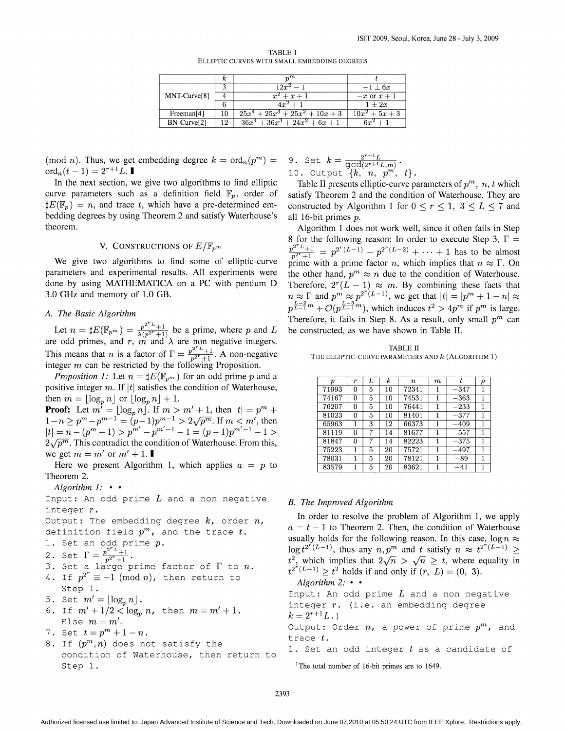| TABLE I                                      |  |  |  |  |  |  |  |  |
|----------------------------------------------|--|--|--|--|--|--|--|--|
| ELLIPTIC CURVES WITH SMALL EMBEDDING DEGREES |  |  |  |  |  |  |  |  |

|                          | κ  | $_{m}m$                          |                  |
|--------------------------|----|----------------------------------|------------------|
|                          |    | $12x^2 - 1$                      | $-1 + 6x$        |
| MNT-Curve <sup>[8]</sup> |    | $x^2 + x + 1$                    | $-x$ or $x+1$    |
|                          |    | $4r^2+1$                         | $1 + 2x$         |
| Freeman <sup>[4]</sup>   |    | $\sqrt{25x^4+25x^3+25x^2+10x+3}$ | $10x^2 + 5x + 3$ |
| BN-Curve <sup>[2]</sup>  | 12 | $36x^4 + 36x^3 + 24x^2 + 6x + 1$ | $6r^2$ $\perp$   |

(mod *n*). Thus, we get embedding degree  $k = \text{ord}_n(p^m)$  =  $\text{ord}_n(t-1) = 2^{r+1}L.$ 

In the next section, we give two algorithms to find elliptic curve parameters such as a definition field  $\mathbb{F}_p$ , order of  $\sharp E(\mathbb{F}_p) = n$ , and trace t, which have a pre-determined embedding degrees by using Theorem 2 and satisfy Waterhouse's theorem.

#### V. CONSTRUCTIONS OF  $E/\mathbb{F}_{p^m}$

We give two algorithms to find some of elliptic-curve parameters and experimental results. All experiments were done by using MATHEMATICA on a PC with pentium D 3.0 GHz and memory of 1.0 GB.

#### *A. The Basic Algorithm*

Let  $n = \sharp E(\mathbb{F}_{p^m}) = \frac{p^{2^r L} + 1}{\lambda(p^{2^r} + 1)}$  be a prime, where p and L are odd primes, and *r*,  $\vec{m}$  and  $\lambda$  are non negative integers. This means that *n* is a factor of  $\Gamma = \frac{p^{2^r}L + 1}{n^{2^r}+1}$ . A non-negative integer  $m$  can be restricted by the following Proposition.

*Proposition 1:* Let  $n = \sharp E(\mathbb{F}_{p^m})$  for an odd prime p and a positive integer m. If  $|t|$  satisfies the condition of Waterhouse, then  $m = \lfloor \log_n n \rfloor$  or  $\lfloor \log_n n \rfloor + 1$ .

**Proof:** Let  $m' = \lfloor \log_p n \rfloor$ . If  $m > m' + 1$ , then  $|t| = p^m + 1$  $1-n \ge p^m - p^{m-1} = (p-1)p^{m-1} > 2\sqrt{p^m}$ . If  $m < m'$ , then  $|t| = n - (p^m + 1) > p^{m'} - p^{m'-1} - 1 = (p-1)p^{m'-1} - 1 >$  $2\sqrt{p^m}$ . This contradict the condition of Waterhouse. From this, we get  $m = m'$  or  $m' + 1$ .

Here we present Algorithm 1, which applies  $a = p$  to Theorem 2.

*Algorithm* 1: • •

Input: An odd prime *L* and a non negative integer r.

Output: The embedding degree *k,* order *n,* definition field  $p^m$ , and the trace  $t$ .

1. Set an odd prime  $p$ .<br>2. Set  $\Gamma = \frac{p^{2^r}L + 1}{p^{2^r}+1}$ .

- 3. Set a large prime factor of  $\Gamma$  to  $n$ .
- 4. If  $p^{2^r} \equiv -1 \pmod{n}$ , then return to Step 1.
- 5. Set  $m' = \lfloor \log_n n \rfloor$ .
- 6. If  $m' + 1/2 < \log_n n$ , then  $m = m' + 1$ . Else  $m = m'$ .
- 7. Set  $t = p^m + 1 n$ .
- 8. If  $(p^m, n)$  does not satisfy the condition of Waterhouse, then return to Step 1.

9. Set 
$$
k = \frac{2^{r+1}L}{\gcd(2^{r+1}L,m)}
$$
.  
10. Output  $\{k, n, p^m, t\}$ .

Table II presents elliptic-curve parameters of  $p^m$ , *n*, *t* which satisfy Theorem 2 and the condition of Waterhouse. They are constructed by Algorithm 1 for  $0 \le r \le 1$ ,  $3 \le L \le 7$  and all 16-bit primes p.

Algorithm 1 does not work well, since it often fails in Step 8 for the following reason: In order to execute Step 3,  $\Gamma =$ *p*<sup>2*r*</sup><sub>*L*+1</sub></sub> =  $p^{2^r L} + p^{2^r (L-1)} - p^{2^r (L-2)} + \cdots + 1$  has to be almost prime with a prime factor *n*, which implies that  $n \approx \Gamma$ . On the other hand,  $p^m \approx n$  due to the condition of Waterhouse. Therefore,  $2^r(L - 1) \approx m$ . By combining these facts that  $n \approx \Gamma$  and  $p^m \approx p^{2^r(L-1)}$ , we get that  $|t| = |p^m + 1 - n| \approx$  $p^{\frac{L-2}{L-1}m} + \mathcal{O}(p^{\frac{L-3}{L-1}m})$ , which induces  $t^2 > 4p^m$  if  $p^m$  is large. Therefore, it fails in Step 8. As a result, only small  $p^m$  can be constructed, as we have shown in Table II.

TABLE II THE ELLIPTIC-CURVE PARAMETERS AND  $k$  (ALGORITHM 1)

| р     | r | L | $\boldsymbol{k}$ | n.    | m |        | ρ |
|-------|---|---|------------------|-------|---|--------|---|
| 71993 | 0 | 5 | 10               | 72341 |   | $-347$ |   |
| 74167 | 0 | 5 | 10               | 74531 |   | $-363$ |   |
| 76207 | 0 | 5 | 10               | 76441 |   | $-233$ |   |
| 81023 | 0 | 5 | 10               | 81401 |   | $-377$ |   |
| 65963 |   | 3 | 12               | 66373 |   | $-409$ |   |
| 81119 | 0 |   | 14               | 81677 |   | $-557$ |   |
| 81847 | O | 7 | 14               | 82223 |   | $-375$ |   |
| 75223 |   | 5 | 20               | 75721 |   | $-497$ |   |
| 78031 |   | 5 | 20               | 78121 |   | $-89$  |   |
| 83579 |   | 5 | 20               | 83621 |   | -41    |   |

#### *B. The Improved Algorithm*

In order to resolve the problem of Algorithm 1, we apply  $a = t - 1$  to Theorem 2. Then, the condition of Waterhouse usually holds for the following reason. In this case,  $\log n \approx$  $\log t^{2^r(L-1)}$ , thus any  $n, p^m$  and t satisfy  $n \approx t^{2^r(L-1)}$  $t^2$ , which implies that  $2\sqrt{n} > \sqrt{n} \geq t$ , where equality in  $t^{2^r(L-1)} \ge t^2$  holds if and only if  $(r, L) = (0, 3)$ . *Algorithm* 2: • •

Input: An odd prime *L* and a non negative integer  $r.$  (i.e. an embedding degree  $k = 2^{r+1}L.$ Output: Order  $n$ , a power of prime  $p^m$ , and trace *t.* 1. Set an odd integer  $t$  as a candidate of

<sup>1</sup>The total number of 16-bit primes are to 1649.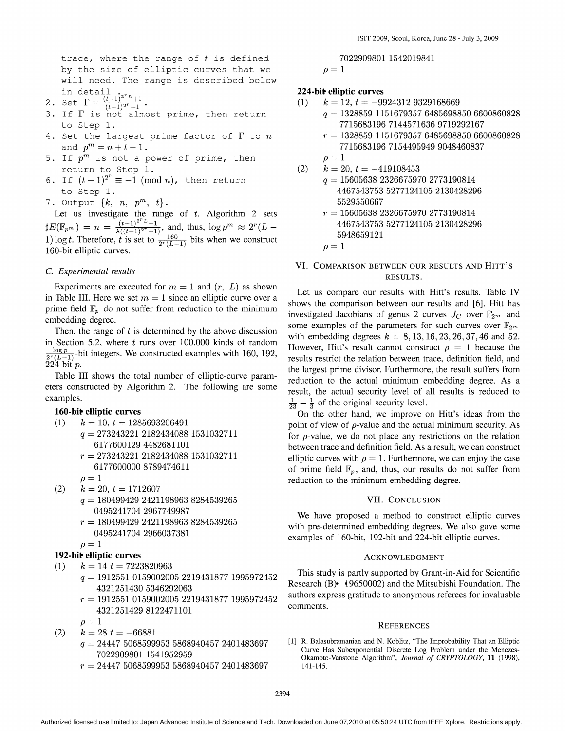trace, where the range of  $t$  is defined by the size of elliptic curves that we will need. The range is described below

- in detail  $\sum_{t=1}^{\infty}$  is the contact  $\Gamma = \frac{(t-1)^{2^r}L+1}{(t-1)^{2^r}+1}$ .
- 3. If  $\Gamma$  is not almost prime, then return to Step 1.
- 4. Set the largest prime factor of  $\Gamma$  to  $n$ and  $p^{m} = n + t - 1$ .
- 5. If  $p^m$  is not a power of prime, then return to Step 1.
- 6. If  $(t-1)^{2^r}\equiv -1 \pmod{n}$ , then return to Step 1.
- 7. Output {k, *n, p'"; t}.*

Let us investigate the range of *t.* Algorithm 2 sets  $E(E_{p^m}) = n = \frac{(t-1)^{2^r}L + 1}{\lambda((t-1)^{2^r}+1)},$  and, thus,  $\log p^m \approx 2^r(L - 1)$ 1) log *t*. Therefore, *t* is set to  $\frac{160}{2^r (L-1)}$  bits when we construct 160-bit elliptic curves.

#### c. *Experimental results*

Experiments are executed for  $m = 1$  and  $(r, L)$  as shown in Table III. Here we set  $m = 1$  since an elliptic curve over a prime field  $\mathbb{F}_p$  do not suffer from reduction to the minimum embedding degree.

Then, the range of  $t$  is determined by the above discussion in Section 5.2, where  $t$  runs over 100,000 kinds of random  $\frac{\log p}{2^{\infty}(L-1)}$ -bit integers. We constructed examples with 160, 192,  $224$ -bit  $p$ .

Table III shows the total number of elliptic-curve parameters constructed by Algorithm 2. The following are some examples.

160-bit elliptic curves

- (1)  $k = 10$ ,  $t = 1285693206491$ *q* == 273243221 2182434088 1531032711 6177600129 4482681101 *r* == 273243221 2182434088 1531032711 6177600000 8789474611
- $\rho=1$  $(k = 20, t = 1712607)$ 
	- *q* == 180499429 2421198963 8284539265 0495241704 2967749987
	- *r* == 180499429 2421198963 8284539265 0495241704 2966037381

$$
\rho = 1
$$

### 192-bit elliptic curves

(1)  $k = 14$  t = 7223820963

- *q* == 1912551 0159002005 2219431877 1995972452 4321251430 5346292063
- *r* == 1912551 0159002005 2219431877 1995972452 4321251429 8122471101

 $\rho=1$ 

- $(k = 28 t = -66881)$ *q* == 24447 5068599953 5868940457 2401483697 7022909801 1541952959
	- *r* == 24447 5068599953 5868940457 2401483697

$$
7022909801\ 1542019841
$$
  

$$
\rho = 1
$$

# 224-bit elliptic curves

- (1)  $k = 12$ ,  $t = -99243129329168669$ 
	- *q* == 1328859 1151679357 6485698850 6600860828 7715683196 7144571636 9719292167
		- *r* == 1328859 1151679357 6485698850 6600860828 7715683196 7154495949 9048460837
- $\rho=1$  $k = 20, t = -419108453$  $q = 15605638$  2326675970 2773190814 4467543753 5277124105 2130428296
	- 5529550667 *r* == 15605638 2326675970 2773190814 4467543753 5277124105 2130428296

$$
5948659121
$$

$$
o=1
$$

# VI. COMPARISON BETWEEN OUR RESULTS AND HITT'S RESULTS.

Let us compare our results with Hitt's results. Table IV shows the comparison between our results and [6]. Hitt has investigated Jacobians of genus 2 curves  $J_C$  over  $\mathbb{F}_{2^m}$  and some examples of the parameters for such curves over  $\mathbb{F}_{2^m}$ with embedding degrees  $k = 8, 13, 16, 23, 26, 37, 46$  and 52. However, Hitt's result cannot construct  $\rho = 1$  because the results restrict the relation between trace, definition field, and the largest prime divisor. Furthermore, the result suffers from reduction to the actual minimum embedding degree. As a result, the actual security level of all results is reduced to  $\frac{1}{23} - \frac{1}{3}$  of the original security level.

On the other hand, we improve on Hitt's ideas from the point of view of  $\rho$ -value and the actual minimum security. As for  $\rho$ -value, we do not place any restrictions on the relation between trace and definition field. As a result, we can construct elliptic curves with  $\rho = 1$ . Furthermore, we can enjoy the case of prime field  $\mathbb{F}_p$ , and, thus, our results do not suffer from reduction to the minimum embedding degree.

#### VII. CONCLUSION

We have proposed a method to construct elliptic curves with pre-determined embedding degrees. We also gave some examples of 160-bit, 192-bit and 224-bit elliptic curves.

#### ACKNOWLEDGMENT

This study is partly supported by Grant-in-Aid for Scientific Research  $(B)$  19650002) and the Mitsubishi Foundation. The authors express gratitude to anonymous referees for invaluable comments.

#### **REFERENCES**

[1] R. Balasubramanian and N. Koblitz, "The Improbability That an Elliptic Curve Has Subexponential Discrete Log Problem under the Menezes-Okamoto-Vanstone Algorithm", *Journal of CRYPTOLOGY,* 11 (1998), 141-145.